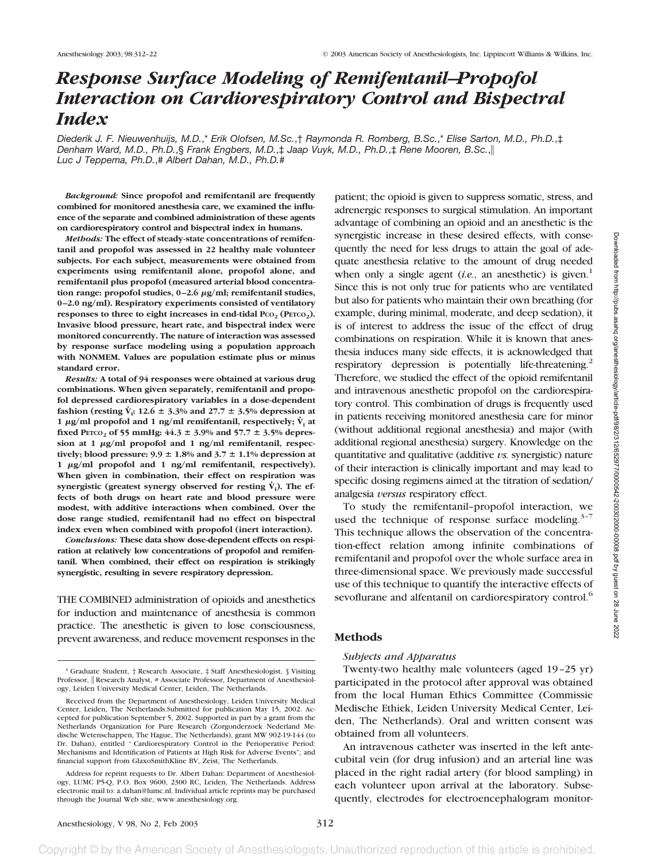# *Response Surface Modeling of Remifentanil–Propofol Interaction on Cardiorespiratory Control and Bispectral Index*

*Diederik J. F. Nieuwenhuijs, M.D.*,\* *Erik Olofsen, M.Sc.*,† *Raymonda R. Romberg, B.Sc.*,\* *Elise Sarton, M.D., Ph.D.*,‡ *Denham Ward, M.D., Ph.D.*,§ *Frank Engbers, M.D.*,‡ *Jaap Vuyk, M.D., Ph.D.*,‡ *Rene Mooren, B.Sc.*, *Luc J Teppema, Ph.D.*,# *Albert Dahan, M.D., Ph.D.*#

*Background:* **Since propofol and remifentanil are frequently combined for monitored anesthesia care, we examined the influence of the separate and combined administration of these agents on cardiorespiratory control and bispectral index in humans.**

*Methods:* **The effect of steady-state concentrations of remifentanil and propofol was assessed in 22 healthy male volunteer subjects. For each subject, measurements were obtained from experiments using remifentanil alone, propofol alone, and remifentanil plus propofol (measured arterial blood concentration range: propofol studies, 0–2.6 g/ml; remifentanil studies, 0–2.0 ng/ml). Respiratory experiments consisted of ventilatory** responses to three to eight increases in end-tidal Pco<sub>2</sub> (PETCO<sub>2</sub>). **Invasive blood pressure, heart rate, and bispectral index were monitored concurrently. The nature of interaction was assessed by response surface modeling using a population approach with NONMEM. Values are population estimate plus or minus standard error.**

*Results:* **A total of 94 responses were obtained at various drug combinations. When given separately, remifentanil and propofol depressed cardiorespiratory variables in a dose-dependent** fashion (resting  $\dot{V}_i$ : 12.6  $\pm$  3.3% and 27.7  $\pm$  3.5% depression at **1**  $\mu$ g/ml propofol and 1 ng/ml remifentanil, respectively;  $\dot{V}_i$  at fixed P $\text{Frco}_2$  of 55 mmHg:  $44.3 \pm 3.9\%$  and 57.7  $\pm 3.5\%$  depression at 1  $\mu$ g/ml propofol and 1 ng/ml remifentanil, respectively; blood pressure:  $9.9 \pm 1.8\%$  and  $3.7 \pm 1.1\%$  depression at **1 g/ml propofol and 1 ng/ml remifentanil, respectively). When given in combination, their effect on respiration was** synergistic (greatest synergy observed for resting  $\dot{V}$ <sub>i</sub>). The ef**fects of both drugs on heart rate and blood pressure were modest, with additive interactions when combined. Over the dose range studied, remifentanil had no effect on bispectral index even when combined with propofol (inert interaction).**

*Conclusions:* **These data show dose-dependent effects on respiration at relatively low concentrations of propofol and remifentanil. When combined, their effect on respiration is strikingly synergistic, resulting in severe respiratory depression.**

THE COMBINED administration of opioids and anesthetics for induction and maintenance of anesthesia is common practice. The anesthetic is given to lose consciousness, prevent awareness, and reduce movement responses in the

Address for reprint requests to Dr. Albert Dahan: Department of Anesthesiology, LUMC P5-Q, P.O. Box 9600, 2300 RC, Leiden, The Netherlands. Address electronic mail to: a.dahan@lumc.nl. Individual article reprints may be purchased through the Journal Web site, www.anesthesiology.org.

patient; the opioid is given to suppress somatic, stress, and adrenergic responses to surgical stimulation. An important advantage of combining an opioid and an anesthetic is the synergistic increase in these desired effects, with consequently the need for less drugs to attain the goal of adequate anesthesia relative to the amount of drug needed when only a single agent  $(i.e.,$  an anesthetic) is given.<sup>1</sup> Since this is not only true for patients who are ventilated but also for patients who maintain their own breathing (for example, during minimal, moderate, and deep sedation), it is of interest to address the issue of the effect of drug combinations on respiration. While it is known that anesthesia induces many side effects, it is acknowledged that respiratory depression is potentially life-threatening.<sup>2</sup> Therefore, we studied the effect of the opioid remifentanil and intravenous anesthetic propofol on the cardiorespiratory control. This combination of drugs is frequently used in patients receiving monitored anesthesia care for minor (without additional regional anesthesia) and major (with additional regional anesthesia) surgery. Knowledge on the quantitative and qualitative (additive *vs.* synergistic) nature of their interaction is clinically important and may lead to specific dosing regimens aimed at the titration of sedation/ analgesia *versus* respiratory effect.

To study the remifentanil–propofol interaction, we used the technique of response surface modeling. $3-7$ This technique allows the observation of the concentration-effect relation among infinite combinations of remifentanil and propofol over the whole surface area in three-dimensional space. We previously made successful use of this technique to quantify the interactive effects of sevoflurane and alfentanil on cardiorespiratory control.<sup>6</sup>

## **Methods**

## *Subjects and Apparatus*

Twenty-two healthy male volunteers (aged 19–25 yr) participated in the protocol after approval was obtained from the local Human Ethics Committee (Commissie Medische Ethiek, Leiden University Medical Center, Leiden, The Netherlands). Oral and written consent was obtained from all volunteers.

An intravenous catheter was inserted in the left antecubital vein (for drug infusion) and an arterial line was placed in the right radial artery (for blood sampling) in each volunteer upon arrival at the laboratory. Subsequently, electrodes for electroencephalogram monitor-

<sup>\*</sup> Graduate Student, † Research Associate, ‡ Staff Anesthesiologist, § Visiting Professor, Research Analyst, # Associate Professor, Department of Anesthesiology, Leiden University Medical Center, Leiden, The Netherlands.

Received from the Department of Anesthesiology, Leiden University Medical Center, Leiden, The Netherlands.Submitted for publication May 15, 2002. Accepted for publication September 5, 2002. Supported in part by a grant from the Netherlands Organization for Pure Research (Zorgonderzoek Nederland Medische Wetenschappen, The Hague, The Netherlands), grant MW 902-19-144 (to Dr. Dahan), entitled " Cardiorespiratory Control in the Perioperative Period: Mechanisms and Identification of Patients at High Risk for Adverse Events"; and financial support from GlaxoSmithKline BV, Zeist, The Netherlands.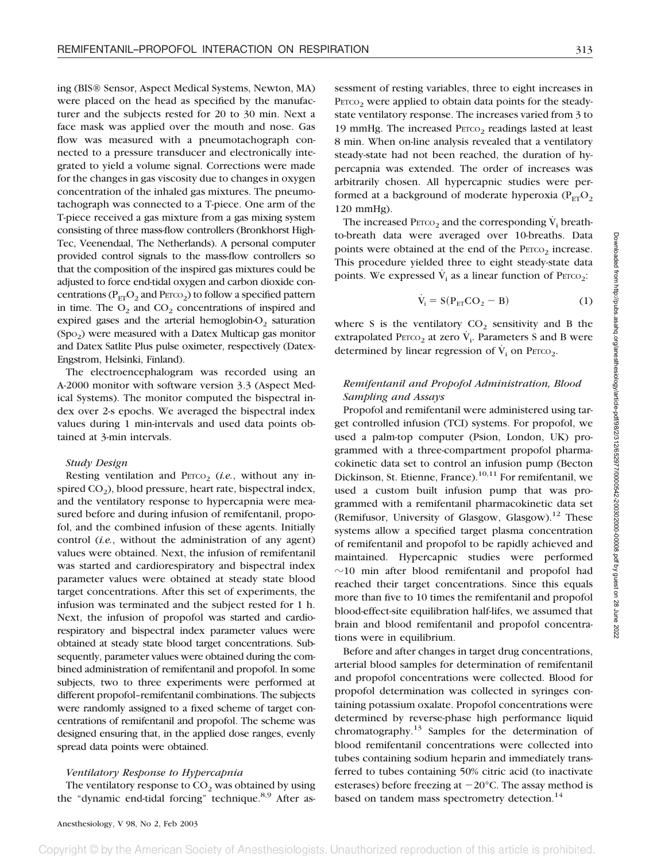ing (BIS® Sensor, Aspect Medical Systems, Newton, MA) were placed on the head as specified by the manufacturer and the subjects rested for 20 to 30 min. Next a face mask was applied over the mouth and nose. Gas flow was measured with a pneumotachograph connected to a pressure transducer and electronically integrated to yield a volume signal. Corrections were made for the changes in gas viscosity due to changes in oxygen concentration of the inhaled gas mixtures. The pneumotachograph was connected to a T-piece. One arm of the T-piece received a gas mixture from a gas mixing system consisting of three mass-flow controllers (Bronkhorst High-Tec, Veenendaal, The Netherlands). A personal computer provided control signals to the mass-flow controllers so that the composition of the inspired gas mixtures could be adjusted to force end-tidal oxygen and carbon dioxide concentrations ( $P_{ET}O_2$  and  $P_{ET}O_2$ ) to follow a specified pattern in time. The  $O_2$  and  $CO_2$  concentrations of inspired and expired gases and the arterial hemoglobin- $O<sub>2</sub>$  saturation (SpO2) were measured with a Datex Multicap gas monitor and Datex Satlite Plus pulse oximeter, respectively (Datex-Engstrom, Helsinki, Finland).

The electroencephalogram was recorded using an A-2000 monitor with software version 3.3 (Aspect Medical Systems). The monitor computed the bispectral index over 2-s epochs. We averaged the bispectral index values during 1 min-intervals and used data points obtained at 3-min intervals.

## *Study Design*

Resting ventilation and PETCO<sub>2</sub> (*i.e.*, without any inspired  $CO<sub>2</sub>$ ), blood pressure, heart rate, bispectral index, and the ventilatory response to hypercapnia were measured before and during infusion of remifentanil, propofol, and the combined infusion of these agents. Initially control (*i.e.*, without the administration of any agent) values were obtained. Next, the infusion of remifentanil was started and cardiorespiratory and bispectral index parameter values were obtained at steady state blood target concentrations. After this set of experiments, the infusion was terminated and the subject rested for 1 h. Next, the infusion of propofol was started and cardiorespiratory and bispectral index parameter values were obtained at steady state blood target concentrations. Subsequently, parameter values were obtained during the combined administration of remifentanil and propofol. In some subjects, two to three experiments were performed at different propofol–remifentanil combinations. The subjects were randomly assigned to a fixed scheme of target concentrations of remifentanil and propofol. The scheme was designed ensuring that, in the applied dose ranges, evenly spread data points were obtained.

#### *Ventilatory Response to Hypercapnia*

The ventilatory response to  $CO<sub>2</sub>$  was obtained by using the "dynamic end-tidal forcing" technique.<sup>8,9</sup> After assessment of resting variables, three to eight increases in  $PETCO<sub>2</sub>$  were applied to obtain data points for the steadystate ventilatory response. The increases varied from 3 to 19 mmHg. The increased PETCO<sub>2</sub> readings lasted at least 8 min. When on-line analysis revealed that a ventilatory steady-state had not been reached, the duration of hypercapnia was extended. The order of increases was arbitrarily chosen. All hypercapnic studies were performed at a background of moderate hyperoxia ( $P_{ET}O_2$ ) 120 mmHg).

The increased  $P$ ETCO<sub>2</sub> and the corresponding  $V_i$  breathto-breath data were averaged over 10-breaths. Data points were obtained at the end of the  $PETCO<sub>2</sub>$  increase. This procedure yielded three to eight steady-state data points. We expressed  $V_i$  as a linear function of PETCO<sub>2</sub>:

$$
\dot{V}_i = S(P_{ET}CO_2 - B)
$$
 (1)

where S is the ventilatory  $CO<sub>2</sub>$  sensitivity and B the extrapolated  $\text{PETCO}_2$  at zero  $\dot{V}_i$ . Parameters S and B were determined by linear regression of  $V_i$  on PETCO<sub>2</sub>.

## *Remifentanil and Propofol Administration, Blood Sampling and Assays*

Propofol and remifentanil were administered using target controlled infusion (TCI) systems. For propofol, we used a palm-top computer (Psion, London, UK) programmed with a three-compartment propofol pharmacokinetic data set to control an infusion pump (Becton Dickinson, St. Etienne, France).<sup>10,11</sup> For remifentanil, we used a custom built infusion pump that was programmed with a remifentanil pharmacokinetic data set (Remifusor, University of Glasgow, Glasgow).<sup>12</sup> These systems allow a specified target plasma concentration of remifentanil and propofol to be rapidly achieved and maintained. Hypercapnic studies were performed  $\sim$ 10 min after blood remifentanil and propofol had reached their target concentrations. Since this equals more than five to 10 times the remifentanil and propofol blood-effect-site equilibration half-lifes, we assumed that brain and blood remifentanil and propofol concentrations were in equilibrium.

Before and after changes in target drug concentrations, arterial blood samples for determination of remifentanil and propofol concentrations were collected. Blood for propofol determination was collected in syringes containing potassium oxalate. Propofol concentrations were determined by reverse-phase high performance liquid chromatography. $13$  Samples for the determination of blood remifentanil concentrations were collected into tubes containing sodium heparin and immediately transferred to tubes containing 50% citric acid (to inactivate esterases) before freezing at  $-20^{\circ}$ C. The assay method is based on tandem mass spectrometry detection.<sup>14</sup>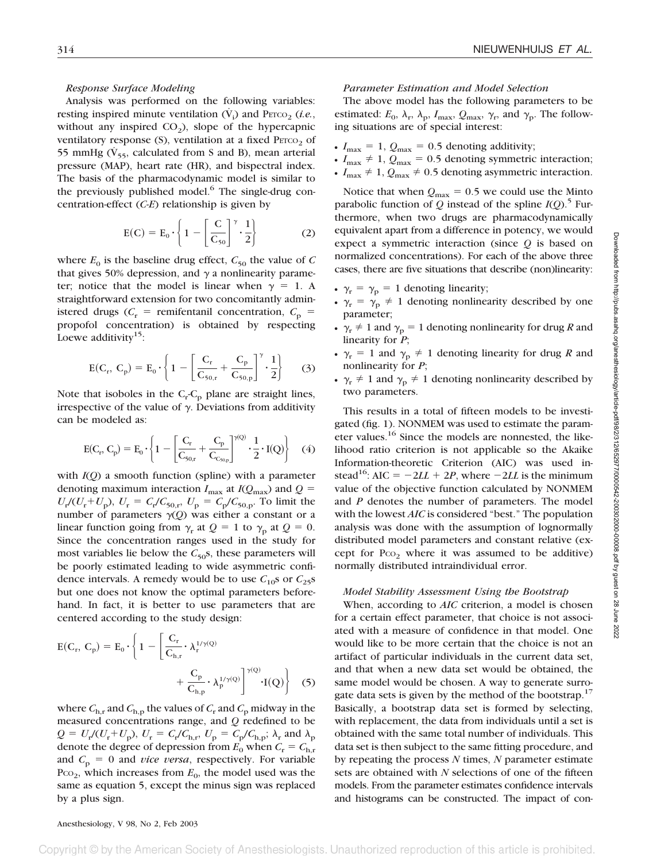## *Response Surface Modeling*

Analysis was performed on the following variables: resting inspired minute ventilation  $(\dot{V}_i)$  and  $P_{ETCO_2}$  (*i.e.*, without any inspired  $CO<sub>2</sub>$ ), slope of the hypercapnic ventilatory response  $(S)$ , ventilation at a fixed PETCO<sub>2</sub> of 55 mmHg ( $V_{55}$ , calculated from S and B), mean arterial pressure (MAP), heart rate (HR), and bispectral index. The basis of the pharmacodynamic model is similar to the previously published model. $6$  The single-drug concentration-effect (*C*-*E*) relationship is given by

$$
E(C) = E_0 \cdot \left\{ 1 - \left[ \frac{C}{C_{50}} \right]^{\gamma} \cdot \frac{1}{2} \right\}
$$
 (2)

where  $E_0$  is the baseline drug effect,  $C_{50}$  the value of  $C$ that gives 50% depression, and  $\gamma$  a nonlinearity parameter; notice that the model is linear when  $\gamma = 1$ . A straightforward extension for two concomitantly administered drugs ( $C_r$  = remifentanil concentration,  $C_p$  = propofol concentration) is obtained by respecting Loewe additivity<sup>15</sup>:

$$
E(C_r, C_p) = E_0 \cdot \left\{ 1 - \left[ \frac{C_r}{C_{50,r}} + \frac{C_p}{C_{50,p}} \right]^\gamma \cdot \frac{1}{2} \right\} \tag{3}
$$

Note that isoboles in the  $C_r-C_p$  plane are straight lines, irrespective of the value of  $\gamma$ . Deviations from additivity can be modeled as:

$$
E(C_r, C_p) = E_0 \cdot \left\{ 1 - \left[ \frac{C_r}{C_{50,r}} + \frac{C_p}{C_{C_{50,p}}} \right]^{NQ} \cdot \frac{1}{2} \cdot I(Q) \right\} \quad (4)
$$

with *I*(*Q*) a smooth function (spline) with a parameter denoting maximum interaction  $I_{\text{max}}$  at  $I(Q_{\text{max}})$  and  $Q =$  $U_r/(U_r+U_p)$ ,  $U_r = C_r/C_{50,r}$ ,  $U_p = C_p/C_{50,p}$ . To limit the number of parameters  $\gamma(Q)$  was either a constant or a linear function going from  $\gamma_r$  at  $Q = 1$  to  $\gamma_p$  at  $Q = 0$ . Since the concentration ranges used in the study for most variables lie below the  $C_{50}$ s, these parameters will be poorly estimated leading to wide asymmetric confidence intervals. A remedy would be to use  $C_{10}$ s or  $C_{25}$ s but one does not know the optimal parameters beforehand. In fact, it is better to use parameters that are centered according to the study design:

$$
E(C_r, C_p) = E_0 \cdot \left\{ 1 - \left[ \frac{C_r}{C_{h,r}} \cdot \lambda_r^{1/\gamma(Q)} + \frac{C_p}{C_{h,p}} \cdot \lambda_p^{1/\gamma(Q)} \right]^{\gamma(Q)} \cdot I(Q) \right\}
$$
 (5)

where  $C_{h,r}$  and  $C_{h,p}$  the values of  $C_r$  and  $C_p$  midway in the measured concentrations range, and *Q* redefined to be  $Q = U_r/(U_r+U_p)$ ,  $U_r = C_r/C_{h,r}$ ,  $U_p = C_p/C_{h,p}$ ;  $\lambda_r$  and  $\lambda_p$ denote the degree of depression from  $E_0$  when  $C_r = C_{h,r}$ and  $C_p = 0$  and *vice versa*, respectively. For variable Pco<sub>2</sub>, which increases from  $E_0$ , the model used was the same as equation 5, except the minus sign was replaced by a plus sign.

## *Parameter Estimation and Model Selection*

The above model has the following parameters to be estimated:  $E_0$ ,  $\lambda_r$ ,  $\lambda_p$ ,  $I_{\text{max}}$ ,  $Q_{\text{max}}$ ,  $\gamma_r$ , and  $\gamma_p$ . The following situations are of special interest:

- $I_{\text{max}} = 1$ ,  $Q_{\text{max}} = 0.5$  denoting additivity;
- $I_{\text{max}} \neq 1$ ,  $Q_{\text{max}} = 0.5$  denoting symmetric interaction;
- $I_{\text{max}} \neq 1$ ,  $Q_{\text{max}} \neq 0.5$  denoting asymmetric interaction.

Notice that when  $Q_{\text{max}} = 0.5$  we could use the Minto parabolic function of *Q* instead of the spline  $I(Q)$ .<sup>5</sup> Furthermore, when two drugs are pharmacodynamically equivalent apart from a difference in potency, we would expect a symmetric interaction (since *Q* is based on normalized concentrations). For each of the above three cases, there are five situations that describe (non)linearity:

- $\gamma_r = \gamma_p = 1$  denoting linearity;
- $\gamma_r = \gamma_p \neq 1$  denoting nonlinearity described by one parameter;
- $\gamma_r \neq 1$  and  $\gamma_p = 1$  denoting nonlinearity for drug *R* and linearity for *P*;
- $\gamma_r = 1$  and  $\gamma_p \neq 1$  denoting linearity for drug *R* and nonlinearity for *P*;
- $\gamma_r \neq 1$  and  $\gamma_p \neq 1$  denoting nonlinearity described by two parameters.

This results in a total of fifteen models to be investigated (fig. 1). NONMEM was used to estimate the parameter values.16 Since the models are nonnested, the likelihood ratio criterion is not applicable so the Akaike Information-theoretic Criterion (AIC) was used instead<sup>16</sup>: AIC =  $-2LL + 2P$ , where  $-2LL$  is the minimum value of the objective function calculated by NONMEM and *P* denotes the number of parameters. The model with the lowest *AIC* is considered "best." The population analysis was done with the assumption of lognormally distributed model parameters and constant relative (except for  $PCO<sub>2</sub>$  where it was assumed to be additive) normally distributed intraindividual error.

## *Model Stability Assessment Using the Bootstrap*

When, according to *AIC* criterion, a model is chosen for a certain effect parameter, that choice is not associated with a measure of confidence in that model. One would like to be more certain that the choice is not an artifact of particular individuals in the current data set, and that when a new data set would be obtained, the same model would be chosen. A way to generate surrogate data sets is given by the method of the bootstrap.<sup>17</sup> Basically, a bootstrap data set is formed by selecting, with replacement, the data from individuals until a set is obtained with the same total number of individuals. This data set is then subject to the same fitting procedure, and by repeating the process *N* times, *N* parameter estimate sets are obtained with *N* selections of one of the fifteen models. From the parameter estimates confidence intervals and histograms can be constructed. The impact of con-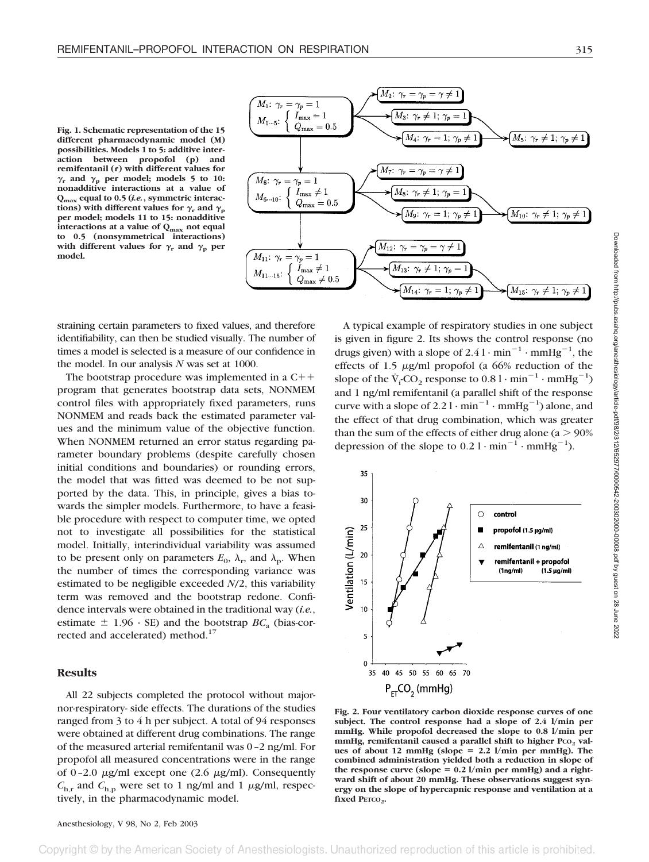**Fig. 1. Schematic representation of the 15 different pharmacodynamic model (M) possibilities. Models 1 to 5: additive interaction between propofol (p) and remifentanil (r) with different values for**  $\gamma_r$  and  $\gamma_p$  per model; models 5 to 10: **nonadditive interactions at a value of Qmax equal to 0.5 (***i.e.***, symmetric interactions)** with different values for  $\gamma_r$  and  $\gamma_p$ **per model; models 11 to 15: nonadditive interactions at a value of Qmax not equal to 0.5 (nonsymmetrical interactions)** with different values for  $\gamma_r$  and  $\gamma_p$  per **model.**



straining certain parameters to fixed values, and therefore identifiability, can then be studied visually. The number of times a model is selected is a measure of our confidence in the model. In our analysis *N* was set at 1000.

The bootstrap procedure was implemented in a  $C++$ program that generates bootstrap data sets, NONMEM control files with appropriately fixed parameters, runs NONMEM and reads back the estimated parameter values and the minimum value of the objective function. When NONMEM returned an error status regarding parameter boundary problems (despite carefully chosen initial conditions and boundaries) or rounding errors, the model that was fitted was deemed to be not supported by the data. This, in principle, gives a bias towards the simpler models. Furthermore, to have a feasible procedure with respect to computer time, we opted not to investigate all possibilities for the statistical model. Initially, interindividual variability was assumed to be present only on parameters  $E_0$ ,  $\lambda_r$ , and  $\lambda_p$ . When the number of times the corresponding variance was estimated to be negligible exceeded *N*/2, this variability term was removed and the bootstrap redone. Confidence intervals were obtained in the traditional way (*i.e.*, estimate  $\pm$  1.96  $\cdot$  SE) and the bootstrap *BC*<sub>a</sub> (bias-corrected and accelerated) method.<sup>17</sup>

## **Results**

All 22 subjects completed the protocol without majornor-respiratory- side effects. The durations of the studies ranged from 3 to 4 h per subject. A total of 94 responses were obtained at different drug combinations. The range of the measured arterial remifentanil was 0–2 ng/ml. For propofol all measured concentrations were in the range of 0–2.0  $\mu$ g/ml except one (2.6  $\mu$ g/ml). Consequently  $C_{h,r}$  and  $C_{h,p}$  were set to 1 ng/ml and 1  $\mu$ g/ml, respectively, in the pharmacodynamic model.

A typical example of respiratory studies in one subject is given in figure 2. Its shows the control response (no drugs given) with a slope of  $2.41 \cdot \text{min}^{-1} \cdot \text{mmHg}^{-1}$ , the effects of 1.5  $\mu$ g/ml propofol (a 66% reduction of the slope of the  $\dot{V}_i$ -CO<sub>2</sub> response to  $0.81 \cdot \text{min}^{-1} \cdot \text{mmHg}^{-1}$ ) and 1 ng/ml remifentanil (a parallel shift of the response curve with a slope of  $2.21 \cdot \text{min}^{-1} \cdot \text{mmHg}^{-1}$ ) alone, and the effect of that drug combination, which was greater than the sum of the effects of either drug alone ( $a > 90\%$ ) depression of the slope to  $0.2 1 \cdot \text{min}^{-1} \cdot \text{mmHg}^{-1}$ ).



**Fig. 2. Four ventilatory carbon dioxide response curves of one subject. The control response had a slope of 2.4 l/min per mmHg. While propofol decreased the slope to 0.8 l/min per** mmHg, remifentanil caused a parallel shift to higher Pco<sub>2</sub> values of about 12 mmHg (slope  $= 2.2$  l/min per mmHg). The **combined administration yielded both a reduction in slope of** the response curve (slope  $= 0.2$  l/min per mmHg) and a right**ward shift of about 20 mmHg. These observations suggest synergy on the slope of hypercapnic response and ventilation at a** fixed PETCO<sub>2</sub>.

merican Society of Anesthesiologists. Unauthorized reproduction of this article is prohibited.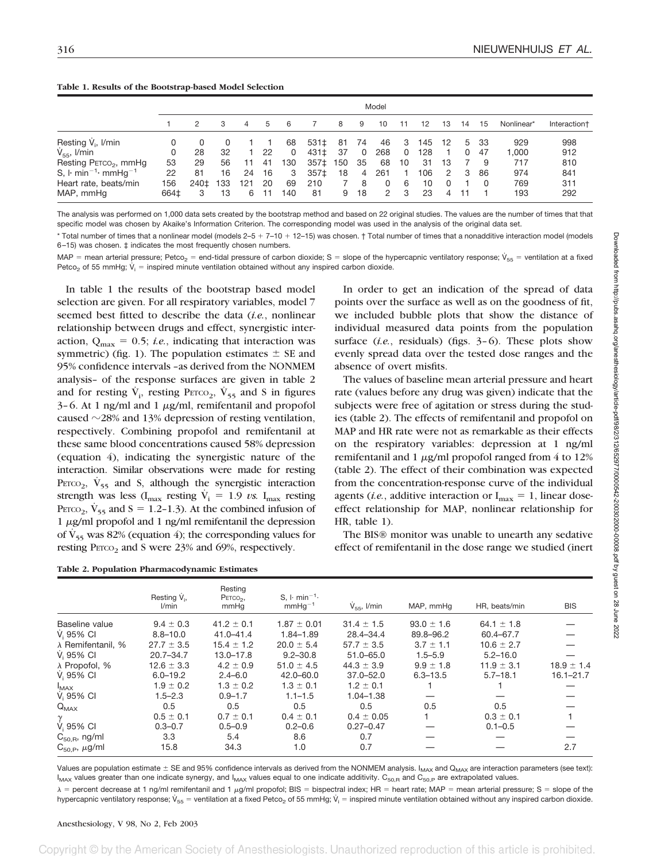**Table 1. Results of the Bootstrap-based Model Selection**

|                                                         | Model |      |     |     |    |     |          |     |    |     |    |     |    |    |     |            |              |
|---------------------------------------------------------|-------|------|-----|-----|----|-----|----------|-----|----|-----|----|-----|----|----|-----|------------|--------------|
|                                                         |       | 2    | 3   | 4   | 5  | 6   |          | 8   | 9  | 10  |    | 12  | 13 | 14 | 15  | Nonlinear* | Interaction† |
| Resting $V_i$ , I/min                                   |       | 0    |     |     |    | 68  | $531\pm$ | -81 | 74 | 46  |    | 145 | 12 | 5  | -33 | 929        | 998          |
| $V_{55}$ , l/min                                        | 0     | 28   | 32  |     | 22 | 0   | 431‡     | -37 | 0  | 268 | 0  | 128 |    |    | 47  | 1.000      | 912          |
| Resting PETCO <sub>2</sub> , mmHg                       | 53    | 29   | 56  | 11  | 41 | 130 | 357‡     | 150 | 35 | 68  | 10 | 31  | 13 |    | 9   | 717        | 810          |
| S, $\cdot$ min <sup>-1</sup> $\cdot$ mmHg <sup>-1</sup> | 22    | 81   | 16  | 24  | 16 | 3   | $357+$   | 18  | 4  | 261 |    | 106 | 2  | 3  | 86  | 974        | 841          |
| Heart rate, beats/min                                   | 156   | 240‡ | 133 | 121 | 20 | 69  | 210      |     | 8  |     | 6  | 10  |    |    | 0   | 769        | 311          |
| MAP, mmHg                                               | 664‡  | 3    | 13  | 6   |    | 140 | 81       | 9   | 18 | 2   | 3  | 23  | 4  |    |     | 193        | 292          |

The analysis was performed on 1,000 data sets created by the bootstrap method and based on 22 original studies. The values are the number of times that that specific model was chosen by Akaike's Information Criterion. The corresponding model was used in the analysis of the original data set.

\* Total number of times that a nonlinear model (models 2–5 + 7–10 + 12–15) was chosen. † Total number of times that a nonadditive interaction model (models 6–15) was chosen. ‡ indicates the most frequently chosen numbers.

MAP = mean arterial pressure; Petco<sub>2</sub> = end-tidal pressure of carbon dioxide; S = slope of the hypercapnic ventilatory response; V<sub>55</sub> = ventilation at a fixed Petco<sub>2</sub> of 55 mmHg;  $V_i$  = inspired minute ventilation obtained without any inspired carbon dioxide.

In table 1 the results of the bootstrap based model selection are given. For all respiratory variables, model 7 seemed best fitted to describe the data (*i.e.*, nonlinear relationship between drugs and effect, synergistic interaction,  $Q_{\text{max}} = 0.5$ ; *i.e.*, indicating that interaction was symmetric) (fig. 1). The population estimates  $\pm$  SE and 95% confidence intervals –as derived from the NONMEM analysis– of the response surfaces are given in table 2 and for resting  $\dot{V}_i$ , resting  $P_{ETCO_2}$ ,  $\dot{V}_{55}$  and S in figures  $3-6$ . At 1 ng/ml and 1  $\mu$ g/ml, remifentanil and propofol caused  $\sim$ 28% and 13% depression of resting ventilation, respectively. Combining propofol and remifentanil at these same blood concentrations caused 58% depression (equation 4), indicating the synergistic nature of the interaction. Similar observations were made for resting  $PETCO<sub>2</sub>$ ,  $V<sub>55</sub>$  and S, although the synergistic interaction strength was less ( $I_{max}$  resting  $\dot{V}_i = 1.9$  *vs.*  $I_{max}$  resting PETCO<sub>2</sub>,  $\dot{V}_{55}$  and S = 1.2–1.3). At the combined infusion of  $1 \mu g/ml$  propofol and  $1 \mu g/ml$  remifentanil the depression of  $V_{55}$  was 82% (equation 4); the corresponding values for resting PETCO<sub>2</sub> and S were 23% and 69%, respectively.

| In order to get an indication of the spread of data                 |
|---------------------------------------------------------------------|
| points over the surface as well as on the goodness of fit,          |
| we included bubble plots that show the distance of                  |
| individual measured data points from the population                 |
| surface ( <i>i.e.</i> , residuals) (figs. $3-6$ ). These plots show |
| evenly spread data over the tested dose ranges and the              |
| absence of overt misfits.                                           |

The values of baseline mean arterial pressure and heart rate (values before any drug was given) indicate that the subjects were free of agitation or stress during the studies (table 2). The effects of remifentanil and propofol on MAP and HR rate were not as remarkable as their effects on the respiratory variables: depression at 1 ng/ml remifentanil and 1  $\mu$ g/ml propofol ranged from 4 to 12% (table 2). The effect of their combination was expected from the concentration-response curve of the individual agents (*i.e.*, additive interaction or  $I_{\text{max}} = 1$ , linear doseeffect relationship for MAP, nonlinear relationship for HR, table 1).

The BIS® monitor was unable to unearth any sedative effect of remifentanil in the dose range we studied (inert

| Table 2. Population Pharmacodynamic Estimates |                          |                               |                                                         |                    |                |                |                |  |  |  |
|-----------------------------------------------|--------------------------|-------------------------------|---------------------------------------------------------|--------------------|----------------|----------------|----------------|--|--|--|
|                                               | Resting $V_i$ ,<br>l/min | Resting<br>$PETCO2$ ,<br>mmHq | S. $\cdot$ min <sup>-1</sup> .<br>$mm$ Hq <sup>-1</sup> | $V_{55}$ , $I/min$ | MAP, mmHq      | HR, beats/min  | <b>BIS</b>     |  |  |  |
| Baseline value                                | $9.4 \pm 0.3$            | $41.2 \pm 0.1$                | $1.87 \pm 0.01$                                         | $31.4 \pm 1.5$     | $93.0 \pm 1.6$ | 64.1 $\pm$ 1.8 |                |  |  |  |
| $Vi$ 95% CI                                   | $8.8 - 10.0$             | $41.0 - 41.4$                 | $1.84 - 1.89$                                           | 28.4-34.4          | 89.8-96.2      | 60.4-67.7      |                |  |  |  |
| $\lambda$ Remifentanil, %                     | $27.7 \pm 3.5$           | $15.4 \pm 1.2$                | $20.0 \pm 5.4$                                          | $57.7 \pm 3.5$     | $3.7 \pm 1.1$  | $10.6 \pm 2.7$ |                |  |  |  |
| $Vi$ 95% CI                                   | $20.7 - 34.7$            | 13.0-17.8                     | $9.2 - 30.8$                                            | $51.0 - 65.0$      | $1.5 - 5.9$    | $5.2 - 16.0$   |                |  |  |  |
| $\lambda$ Propofol, %                         | $12.6 \pm 3.3$           | $4.2 \pm 0.9$                 | $51.0 \pm 4.5$                                          | $44.3 \pm 3.9$     | $9.9 \pm 1.8$  | $11.9 \pm 3.1$ | $18.9 \pm 1.4$ |  |  |  |
| V <sub>i</sub> 95% CI                         | $6.0 - 19.2$             | $2.4 - 6.0$                   | $42.0 - 60.0$                                           | $37.0 - 52.0$      | $6.3 - 13.5$   | $5.7 - 18.1$   | $16.1 - 21.7$  |  |  |  |
| $I_{MAX}$                                     | $1.9 \pm 0.2$            | $1.3 \pm 0.2$                 | $1.3 \pm 0.1$                                           | $1.2 \pm 0.1$      |                |                |                |  |  |  |
| V <sub>i</sub> 95% CI                         | $1.5 - 2.3$              | $0.9 - 1.7$                   | $1.1 - 1.5$                                             | $1.04 - 1.38$      |                |                |                |  |  |  |
| $Q_{MAX}$                                     | 0.5                      | 0.5                           | 0.5                                                     | 0.5                | 0.5            | 0.5            |                |  |  |  |
| $\gamma$                                      | $0.5 \pm 0.1$            | $0.7 \pm 0.1$                 | $0.4 \pm 0.1$                                           | $0.4 \pm 0.05$     |                | $0.3 \pm 0.1$  |                |  |  |  |
| $V_i$ 95% CI                                  | $0.3 - 0.7$              | $0.5 - 0.9$                   | $0.2 - 0.6$                                             | $0.27 - 0.47$      |                | $0.1 - 0.5$    |                |  |  |  |
| $C_{50,R}$ , ng/ml                            | 3.3                      | 5.4                           | 8.6                                                     | 0.7                |                |                |                |  |  |  |
| $C_{50,P}$ , $\mu$ g/ml                       | 15.8                     | 34.3                          | 1.0                                                     | 0.7                |                |                | 2.7            |  |  |  |

Values are population estimate  $\pm$  SE and 95% confidence intervals as derived from the NONMEM analysis. I<sub>MAX</sub> and Q<sub>MAX</sub> are interaction parameters (see text):  $I_{MAX}$  values greater than one indicate synergy, and  $I_{MAX}$  values equal to one indicate additivity.  $C_{50,R}$  and  $C_{50,R}$  are extrapolated values.

 $\lambda$  = percent decrease at 1 ng/ml remifentanil and 1  $\mu$ g/ml propofol; BIS = bispectral index; HR = heart rate; MAP = mean arterial pressure; S = slope of the hypercapnic ventilatory response;  $\dot{V}_{55}$  = ventilation at a fixed Petco<sub>2</sub> of 55 mmHg;  $V_i$  = inspired minute ventilation obtained without any inspired carbon dioxide.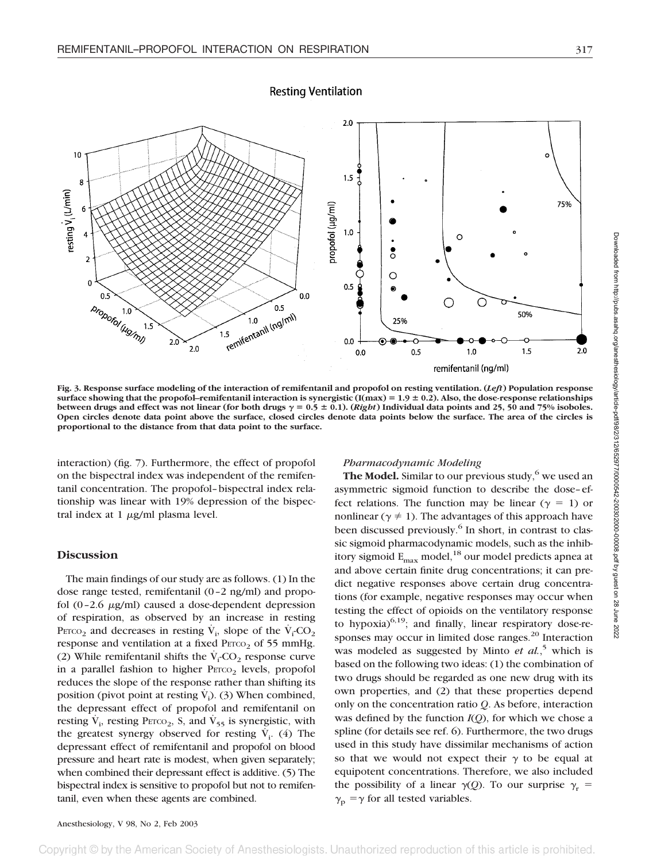

**Resting Ventilation** 

**Fig. 3. Response surface modeling of the interaction of remifentanil and propofol on resting ventilation. (***Left***) Population response surface showing that the propofol–remifentanil interaction is synergistic (I(max) 1.9** - **0.2). Also, the dose-response relationships** between drugs and effect was not linear (for both drugs  $\gamma = 0.5 \pm 0.1$ ). (*Right*) Individual data points and 25, 50 and 75% isoboles. **Open circles denote data point above the surface, closed circles denote data points below the surface. The area of the circles is proportional to the distance from that data point to the surface.**

interaction) (fig. 7). Furthermore, the effect of propofol on the bispectral index was independent of the remifentanil concentration. The propofol–bispectral index relationship was linear with 19% depression of the bispectral index at 1  $\mu$ g/ml plasma level.

## **Discussion**

The main findings of our study are as follows. (1) In the dose range tested, remifentanil (0–2 ng/ml) and propofol  $(0-2.6 \mu g/ml)$  caused a dose-dependent depression of respiration, as observed by an increase in resting PETCO<sub>2</sub> and decreases in resting  $\dot{V}_i$ , slope of the  $\dot{V}_i$ CO<sub>2</sub> response and ventilation at a fixed  $PETCO<sub>2</sub>$  of 55 mmHg. (2) While remifentanil shifts the  $\dot{V}_i$ -CO<sub>2</sub> response curve in a parallel fashion to higher  $Perco<sub>2</sub>$  levels, propofol reduces the slope of the response rather than shifting its position (pivot point at resting  $\dot{V}_i$ ). (3) When combined, the depressant effect of propofol and remifentanil on resting  $\dot{V}_i$ , resting PETCO<sub>2</sub>, S, and  $\dot{V}_{55}$  is synergistic, with the greatest synergy observed for resting  $\dot{V}_i$ . (4) The depressant effect of remifentanil and propofol on blood pressure and heart rate is modest, when given separately; when combined their depressant effect is additive. (5) The bispectral index is sensitive to propofol but not to remifentanil, even when these agents are combined.

## *Pharmacodynamic Modeling*

**The Model.** Similar to our previous study,<sup>6</sup> we used an asymmetric sigmoid function to describe the dose–effect relations. The function may be linear ( $\gamma = 1$ ) or nonlinear ( $\gamma \neq 1$ ). The advantages of this approach have been discussed previously.<sup>6</sup> In short, in contrast to classic sigmoid pharmacodynamic models, such as the inhibitory sigmoid  $E_{\text{max}}$  model,<sup>18</sup> our model predicts apnea at and above certain finite drug concentrations; it can predict negative responses above certain drug concentrations (for example, negative responses may occur when testing the effect of opioids on the ventilatory response to hypoxia) $^{6,19}$ ; and finally, linear respiratory dose-responses may occur in limited dose ranges. $^{20}$  Interaction was modeled as suggested by Minto *et al.*, <sup>5</sup> which is based on the following two ideas: (1) the combination of two drugs should be regarded as one new drug with its own properties, and (2) that these properties depend only on the concentration ratio *Q*. As before, interaction was defined by the function *I*(*Q*), for which we chose a spline (for details see ref. 6). Furthermore, the two drugs used in this study have dissimilar mechanisms of action so that we would not expect their  $\gamma$  to be equal at equipotent concentrations. Therefore, we also included the possibility of a linear  $\gamma(Q)$ . To our surprise  $\gamma_r =$  $\gamma_p = \gamma$  for all tested variables.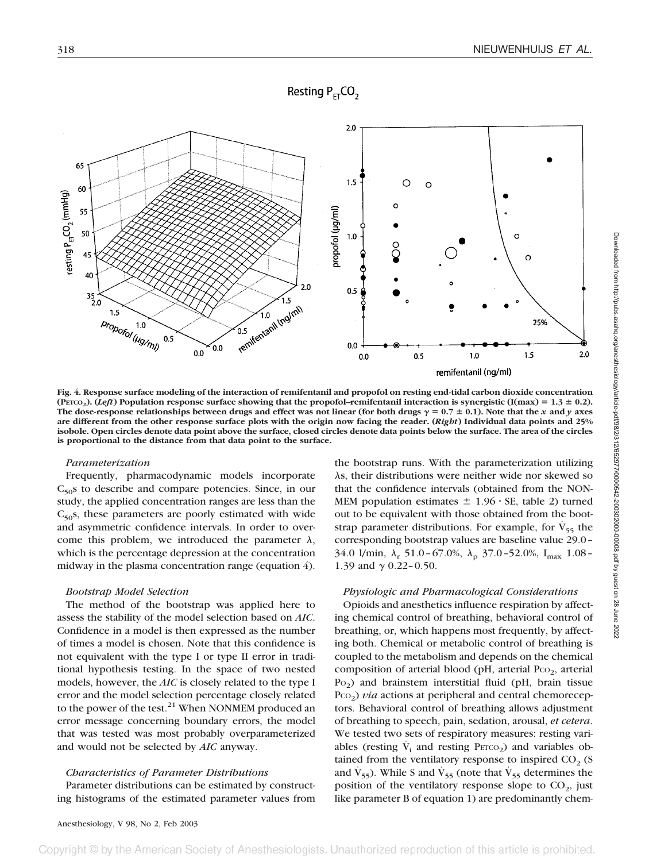

**Fig. 4. Response surface modeling of the interaction of remifentanil and propofol on resting end-tidal carbon dioxide concentration**  $(Perco<sub>2</sub>)$ .  $(Left)$  Population response surface showing that the propofol–remifentanil interaction is synergistic  $(I(max) = 1.3 \pm 0.2)$ . The dose-response relationships between drugs and effect was not linear (for both drugs  $\gamma = 0.7 \pm 0.1$ ). Note that the *x* and *y* axes **are different from the other response surface plots with the origin now facing the reader. (***Right***) Individual data points and 25% isobole. Open circles denote data point above the surface, closed circles denote data points below the surface. The area of the circles is proportional to the distance from that data point to the surface.**

## *Parameterization*

Frequently, pharmacodynamic models incorporate  $C_{50}$ s to describe and compare potencies. Since, in our study, the applied concentration ranges are less than the  $C_{50}$ s, these parameters are poorly estimated with wide and asymmetric confidence intervals. In order to overcome this problem, we introduced the parameter  $\lambda$ , which is the percentage depression at the concentration midway in the plasma concentration range (equation 4).

## *Bootstrap Model Selection*

The method of the bootstrap was applied here to assess the stability of the model selection based on *AIC*. Confidence in a model is then expressed as the number of times a model is chosen. Note that this confidence is not equivalent with the type I or type II error in traditional hypothesis testing. In the space of two nested models, however, the *AIC* is closely related to the type I error and the model selection percentage closely related to the power of the test.<sup>21</sup> When NONMEM produced an error message concerning boundary errors, the model that was tested was most probably overparameterized and would not be selected by *AIC* anyway.

## *Characteristics of Parameter Distributions*

Parameter distributions can be estimated by constructing histograms of the estimated parameter values from the bootstrap runs. With the parameterization utilizing s, their distributions were neither wide nor skewed so that the confidence intervals (obtained from the NON-MEM population estimates  $\pm$  1.96  $\cdot$  SE, table 2) turned out to be equivalent with those obtained from the bootstrap parameter distributions. For example, for  $V_{55}$  the corresponding bootstrap values are baseline value 29.0– 34.0 l/min,  $\lambda_r$  51.0–67.0%,  $\lambda_p$  37.0–52.0%, I<sub>max</sub> 1.08– 1.39 and  $\gamma$  0.22-0.50.

## *Physiologic and Pharmacological Considerations*

Opioids and anesthetics influence respiration by affecting chemical control of breathing, behavioral control of breathing, or, which happens most frequently, by affecting both. Chemical or metabolic control of breathing is coupled to the metabolism and depends on the chemical composition of arterial blood (pH, arterial P $co<sub>2</sub>$ , arterial  $P<sub>O<sub>2</sub></sub>$ ) and brainstem interstitial fluid (pH, brain tissue Pco<sub>2</sub>) *via* actions at peripheral and central chemoreceptors. Behavioral control of breathing allows adjustment of breathing to speech, pain, sedation, arousal, *et cetera*. We tested two sets of respiratory measures: resting variables (resting  $\dot{V}_i$  and resting PETCO<sub>2</sub>) and variables obtained from the ventilatory response to inspired  $CO<sub>2</sub>$  (S and  $\dot{V}_{55}$ ). While S and  $\dot{V}_{55}$  (note that  $\dot{V}_{55}$  determines the position of the ventilatory response slope to  $CO<sub>2</sub>$ , just like parameter B of equation 1) are predominantly chem-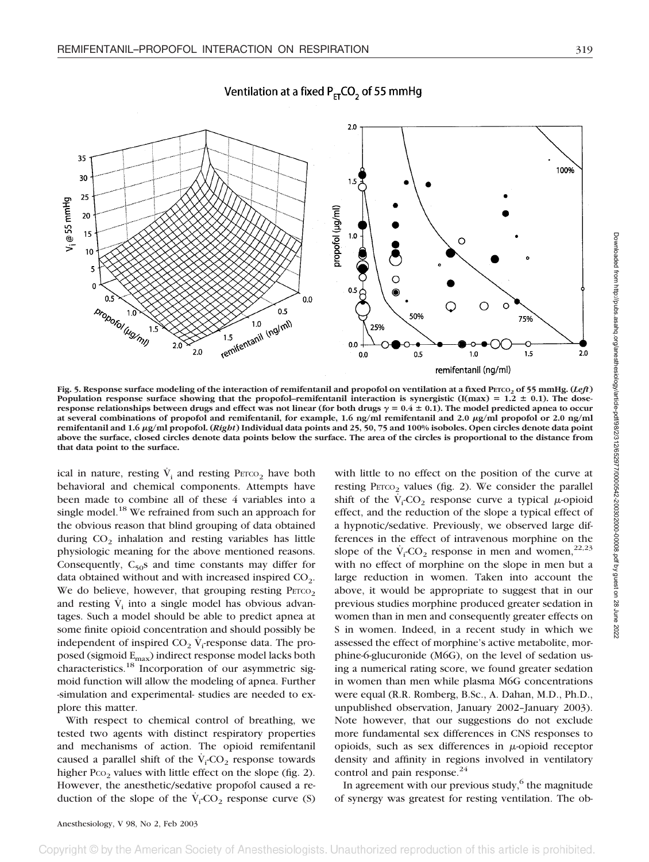

## Ventilation at a fixed  $P_{FT}CO_2$  of 55 mmHg

**Fig. 5. Response surface modeling of the interaction of remifentanil and propofol on ventilation at a fixed PETCO2 of 55 mmHg. (***Left***) Population response surface showing that the propofol–remifentanil interaction is synergistic (I(max) 1.2** - **0.1). The dose**response relationships between drugs and effect was not linear (for both drugs  $\gamma = 0.4 \pm 0.1$ ). The model predicted apnea to occur **at several combinations of propofol and remifentanil, for example, 1.6 ng/ml remifentanil and 2.0 g/ml propofol or 2.0 ng/ml remifentanil and 1.6 g/ml propofol. (***Right***) Individual data points and 25, 50, 75 and 100% isoboles. Open circles denote data point above the surface, closed circles denote data points below the surface. The area of the circles is proportional to the distance from that data point to the surface.**

ical in nature, resting  $\dot{V}_i$  and resting PETCO<sub>2</sub> have both behavioral and chemical components. Attempts have been made to combine all of these 4 variables into a single model.<sup>18</sup> We refrained from such an approach for the obvious reason that blind grouping of data obtained during  $CO<sub>2</sub>$  inhalation and resting variables has little physiologic meaning for the above mentioned reasons. Consequently,  $C_{50}$ s and time constants may differ for data obtained without and with increased inspired  $CO<sub>2</sub>$ . We do believe, however, that grouping resting  $PETCO<sub>2</sub>$ and resting  $V_i$  into a single model has obvious advantages. Such a model should be able to predict apnea at some finite opioid concentration and should possibly be independent of inspired  $CO_2$   $\dot{V}_i$  response data. The proposed (sigmoid Emax) indirect response model lacks both characteristics.18 Incorporation of our asymmetric sigmoid function will allow the modeling of apnea. Further -simulation and experimental- studies are needed to explore this matter.

With respect to chemical control of breathing, we tested two agents with distinct respiratory properties and mechanisms of action. The opioid remifentanil caused a parallel shift of the  $\dot{V}_i$ -CO<sub>2</sub> response towards higher  $P_{CO<sub>2</sub>}$  values with little effect on the slope (fig. 2). However, the anesthetic/sedative propofol caused a reduction of the slope of the  $\dot{V}_i$ -CO<sub>2</sub> response curve (S)

with little to no effect on the position of the curve at resting  $PETCO<sub>2</sub>$  values (fig. 2). We consider the parallel shift of the  $\dot{V}_i$ -CO<sub>2</sub> response curve a typical  $\mu$ -opioid effect, and the reduction of the slope a typical effect of a hypnotic/sedative. Previously, we observed large differences in the effect of intravenous morphine on the slope of the  $\dot{V}_i$ -CO<sub>2</sub> response in men and women,<sup>22,23</sup> with no effect of morphine on the slope in men but a large reduction in women. Taken into account the above, it would be appropriate to suggest that in our previous studies morphine produced greater sedation in women than in men and consequently greater effects on S in women. Indeed, in a recent study in which we assessed the effect of morphine's active metabolite, morphine-6-glucuronide (M6G), on the level of sedation using a numerical rating score, we found greater sedation in women than men while plasma M6G concentrations were equal (R.R. Romberg, B.Sc., A. Dahan, M.D., Ph.D., unpublished observation, January 2002–January 2003). Note however, that our suggestions do not exclude more fundamental sex differences in CNS responses to opioids, such as sex differences in  $\mu$ -opioid receptor density and affinity in regions involved in ventilatory control and pain response.<sup>24</sup>

In agreement with our previous study, $6$  the magnitude of synergy was greatest for resting ventilation. The ob-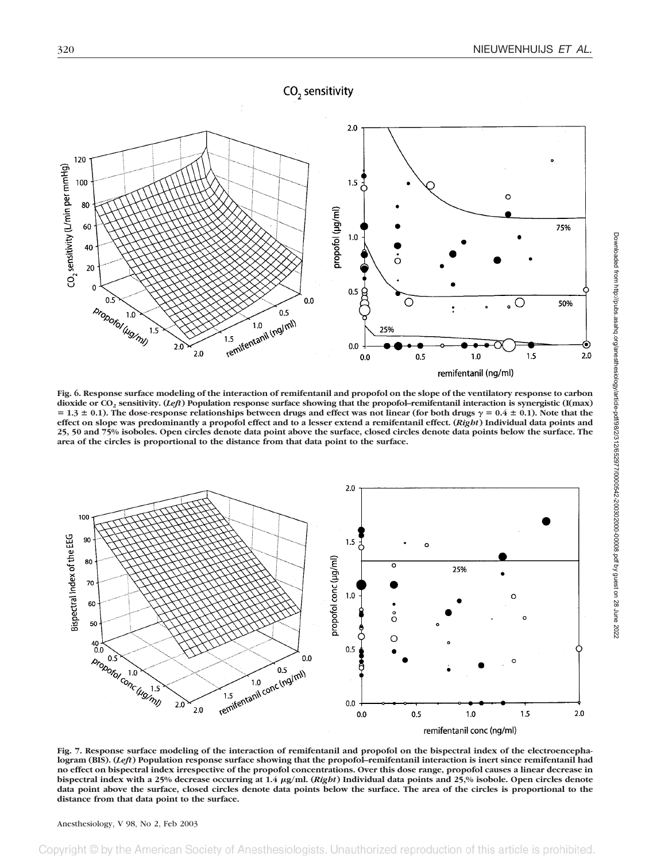

**Fig. 6. Response surface modeling of the interaction of remifentanil and propofol on the slope of the ventilatory response to carbon dioxide or CO2 sensitivity. (***Left***) Population response surface showing that the propofol–remifentanil interaction is synergistic (I(max)**  $= 1.3 \pm 0.1$ ). The dose-response relationships between drugs and effect was not linear (for both drugs  $\gamma = 0.4 \pm 0.1$ ). Note that the **effect on slope was predominantly a propofol effect and to a lesser extend a remifentanil effect. (***Right***) Individual data points and 25, 50 and 75% isoboles. Open circles denote data point above the surface, closed circles denote data points below the surface. The area of the circles is proportional to the distance from that data point to the surface.**



**Fig. 7. Response surface modeling of the interaction of remifentanil and propofol on the bispectral index of the electroencephalogram (BIS). (***Left***) Population response surface showing that the propofol–remifentanil interaction is inert since remifentanil had no effect on bispectral index irrespective of the propofol concentrations. Over this dose range, propofol causes a linear decrease in bispectral index with a 25% decrease occurring at 1.4 g/ml. (***Right***) Individual data points and 25,% isobole. Open circles denote data point above the surface, closed circles denote data points below the surface. The area of the circles is proportional to the distance from that data point to the surface.**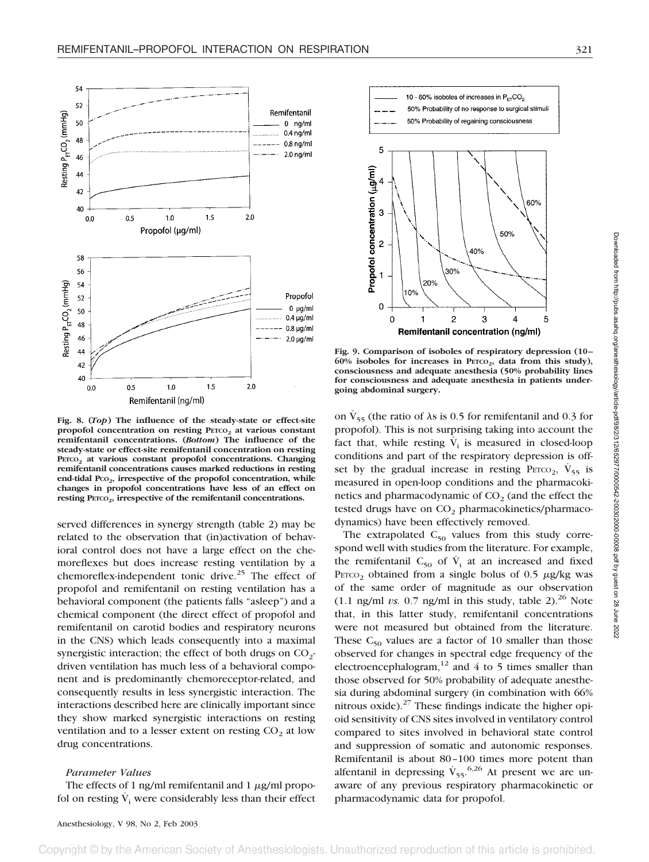

**Fig. 8. (***Top***) The influence of the steady-state or effect-site** propofol concentration on resting PETCO<sub>2</sub> at various constant **remifentanil concentrations. (***Bottom***) The influence of the steady-state or effect-site remifentanil concentration on resting PETCO2 at various constant propofol concentrations. Changing remifentanil concentrations causes marked reductions in resting** end-tidal Pco<sub>2</sub>, irrespective of the propofol concentration, while **changes in propofol concentrations have less of an effect on** resting PETCO<sub>2</sub>, irrespective of the remifentanil concentrations.

served differences in synergy strength (table 2) may be related to the observation that (in)activation of behavioral control does not have a large effect on the chemoreflexes but does increase resting ventilation by a chemoreflex-independent tonic drive.<sup>25</sup> The effect of propofol and remifentanil on resting ventilation has a behavioral component (the patients falls "asleep") and a chemical component (the direct effect of propofol and remifentanil on carotid bodies and respiratory neurons in the CNS) which leads consequently into a maximal synergistic interaction; the effect of both drugs on  $CO_2$ driven ventilation has much less of a behavioral component and is predominantly chemoreceptor-related, and consequently results in less synergistic interaction. The interactions described here are clinically important since they show marked synergistic interactions on resting ventilation and to a lesser extent on resting  $CO<sub>2</sub>$  at low drug concentrations.

## *Parameter Values*

The effects of 1 ng/ml remifentanil and 1  $\mu$ g/ml propofol on resting  $V_i$  were considerably less than their effect



**Fig. 9. Comparison of isoboles of respiratory depression (10– 60% isoboles for increases in PETCO2, data from this study), consciousness and adequate anesthesia (50% probability lines for consciousness and adequate anesthesia in patients undergoing abdominal surgery.**

on  $V_{55}$  (the ratio of  $\lambda$ s is 0.5 for remifentanil and 0.3 for propofol). This is not surprising taking into account the fact that, while resting  $V_i$  is measured in closed-loop conditions and part of the respiratory depression is offset by the gradual increase in resting PETCO<sub>2</sub>,  $V_{55}$  is measured in open-loop conditions and the pharmacokinetics and pharmacodynamic of  $CO<sub>2</sub>$  (and the effect the tested drugs have on CO<sub>2</sub> pharmacokinetics/pharmacodynamics) have been effectively removed.

The extrapolated  $C_{50}$  values from this study correspond well with studies from the literature. For example, the remifentanil  $C_{50}$  of  $V_i$  at an increased and fixed  $PETCO<sub>2</sub> obtained from a single bolus of 0.5  $\mu$ g/kg was$ of the same order of magnitude as our observation  $(1.1 \text{ ng/ml } vs. 0.7 \text{ ng/ml in this study, table } 2)$ .<sup>26</sup> Note that, in this latter study, remifentanil concentrations were not measured but obtained from the literature. These  $C_{50}$  values are a factor of 10 smaller than those observed for changes in spectral edge frequency of the electroencephalogram, $^{12}$  and 4 to 5 times smaller than those observed for 50% probability of adequate anesthesia during abdominal surgery (in combination with 66% nitrous oxide). $27$  These findings indicate the higher opioid sensitivity of CNS sites involved in ventilatory control compared to sites involved in behavioral state control and suppression of somatic and autonomic responses. Remifentanil is about 80–100 times more potent than alfentanil in depressing  $V_{55}$ .<sup>6,26</sup> At present we are unaware of any previous respiratory pharmacokinetic or pharmacodynamic data for propofol.